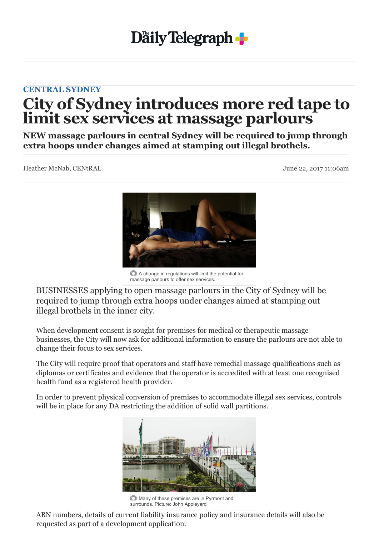## **Daily Telegraph**

## **[CENTRAL SYDNEY](http://www.dailytelegraph.com.au/newslocal/central-sydney)**

## **City of Sydney introduces more red tape to limit sex services at massage parlours**

**NEW massage parlours in central Sydney will be required to jump through extra hoops under changes aimed at stamping out illegal brothels.**

Heather McNab, CENtRAL June 22, 2017 11:06am



A change in regulations will limit the potential for massage parlours to offer sex services.

BUSINESSES applying to open massage parlours in the City of Sydney will be required to jump through extra hoops under changes aimed at stamping out illegal brothels in the inner city.

When development consent is sought for premises for medical or therapeutic massage businesses, the City will now ask for additional information to ensure the parlours are not able to change their focus to sex services.

The City will require proof that operators and staff have remedial massage qualifications such as diplomas or certificates and evidence that the operator is accredited with at least one recognised health fund as a registered health provider.

In order to prevent physical conversion of premises to accommodate illegal sex services, controls will be in place for any DA restricting the addition of solid wall partitions.



**Many of these premises are in Pyrmont and** surrounds. Picture: John Appleyard

ABN numbers, details of current liability insurance policy and insurance details will also be requested as part of a development application.